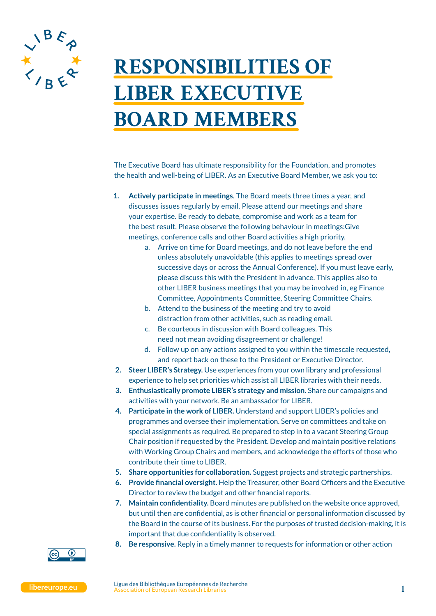

## **RESPONSIBILITIES OF LIBER EXECUTIVE BOARD MEMBERS**

The Executive Board has ultimate responsibility for the Foundation, and promotes the health and well-being of LIBER. As an Executive Board Member, we ask you to:

- **1. Actively participate in meetings**. The Board meets three times a year, and discusses issues regularly by email. Please attend our meetings and share your expertise. Be ready to debate, compromise and work as a team for the best result. Please observe the following behaviour in meetings:Give meetings, conference calls and other Board activities a high priority.
	- a. Arrive on time for Board meetings, and do not leave before the end unless absolutely unavoidable (this applies to meetings spread over successive days or across the Annual Conference). If you must leave early, please discuss this with the President in advance. This applies also to other LIBER business meetings that you may be involved in, eg Finance Committee, Appointments Committee, Steering Committee Chairs.
	- b. Attend to the business of the meeting and try to avoid distraction from other activities, such as reading email.
	- c. Be courteous in discussion with Board colleagues. This need not mean avoiding disagreement or challenge!
	- d. Follow up on any actions assigned to you within the timescale requested, and report back on these to the President or Executive Director.
- **2. Steer LIBER's Strategy.** Use experiences from your own library and professional experience to help set priorities which assist all LIBER libraries with their needs.
- **3. Enthusiastically promote LIBER's strategy and mission.** Share our campaigns and activities with your network. Be an ambassador for LIBER.
- **4. Participate in the work of LIBER.** Understand and support LIBER's policies and programmes and oversee their implementation. Serve on committees and take on special assignments as required. Be prepared to step in to a vacant Steering Group Chair position if requested by the President. Develop and maintain positive relations with Working Group Chairs and members, and acknowledge the efforts of those who contribute their time to LIBER.
- **5. Share opportunities for collaboration.** Suggest projects and strategic partnerships.
- **6. Provide financial oversight.** Help the Treasurer, other Board Officers and the Executive Director to review the budget and other financial reports.
- **7. Maintain confidentiality.** Board minutes are published on the website once approved, but until then are confidential, as is other financial or personal information discussed by the Board in the course of its business. For the purposes of trusted decision-making, it is important that due confidentiality is observed.
- **8. Be responsive.** Reply in a timely manner to requests for information or other action